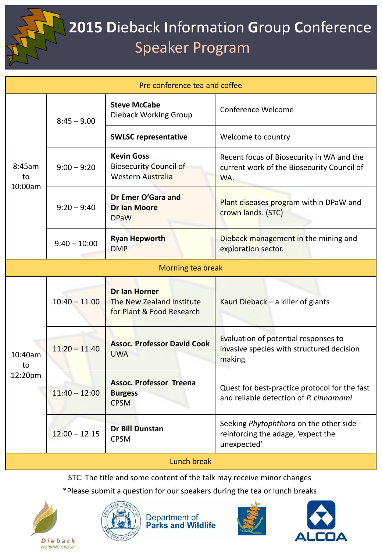

## **2015 D**ieback **I**nformation **G**roup **C**onference Speaker Program

| Pre conference tea and coffee |                 |                                                                                |                                                                                                |  |  |
|-------------------------------|-----------------|--------------------------------------------------------------------------------|------------------------------------------------------------------------------------------------|--|--|
| 8:45am<br>to<br>10:00am       | $8:45 - 9.00$   | <b>Steve McCabe</b><br>Dieback Working Group                                   | Conference Welcome                                                                             |  |  |
|                               |                 | <b>SWLSC representative</b>                                                    | Welcome to country                                                                             |  |  |
|                               | $9:00 - 9:20$   | <b>Kevin Goss</b><br><b>Biosecurity Council of</b><br><b>Western Australia</b> | Recent focus of Biosecurity in WA and the<br>current work of the Biosecurity Council of<br>WA. |  |  |
|                               | $9:20 - 9:40$   | Dr Emer O'Gara and<br><b>Dr Ian Moore</b><br><b>DPaW</b>                       | Plant diseases program within DPaW and<br>crown lands. (STC)                                   |  |  |
|                               | $9:40 - 10:00$  | <b>Ryan Hepworth</b><br><b>DMP</b>                                             | Dieback management in the mining and<br>exploration sector.                                    |  |  |
| Morning tea break             |                 |                                                                                |                                                                                                |  |  |
| 10:40am<br>to<br>12:20pm      | $10:40 - 11:00$ | <b>Dr lan Horner</b><br>The New Zealand Institute<br>for Plant & Food Research | Kauri Dieback $-$ a killer of giants                                                           |  |  |
|                               | $11:20 - 11:40$ | <b>Assoc. Professor David Cook</b><br><b>UWA</b>                               | Evaluation of potential responses to<br>invasive species with structured decision<br>making    |  |  |
|                               | $11:40 - 12:00$ | <b>Assoc. Professor Treena</b><br><b>Burgess</b><br><b>CPSM</b>                | Quest for best-practice protocol for the fast<br>and reliable detection of P. cinnamomi        |  |  |
|                               | $12:00 - 12:15$ | <b>Dr Bill Dunstan</b><br><b>CPSM</b>                                          | Seeking Phytophthora on the other side -<br>reinforcing the adage, 'expect the<br>unexpected'  |  |  |
| <b>Lunch break</b>            |                 |                                                                                |                                                                                                |  |  |

STC: The title and some content of the talk may receive minor changes

\*Please submit a question for our speakers during the tea or lunch breaks





**Department of<br>Parks and Wildlife**